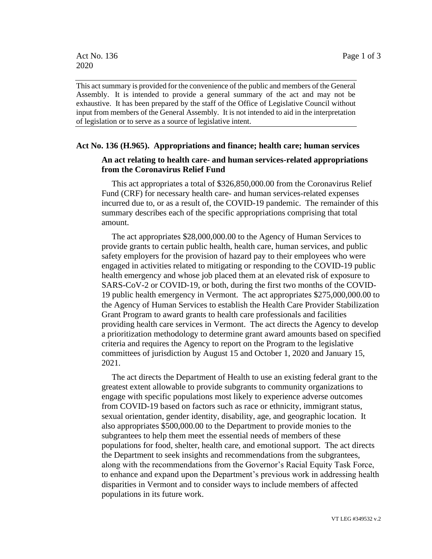This act summary is provided for the convenience of the public and members of the General Assembly. It is intended to provide a general summary of the act and may not be exhaustive. It has been prepared by the staff of the Office of Legislative Council without input from members of the General Assembly. It is not intended to aid in the interpretation of legislation or to serve as a source of legislative intent.

## **Act No. 136 (H.965). Appropriations and finance; health care; human services**

## **An act relating to health care- and human services-related appropriations from the Coronavirus Relief Fund**

This act appropriates a total of \$326,850,000.00 from the Coronavirus Relief Fund (CRF) for necessary health care- and human services-related expenses incurred due to, or as a result of, the COVID-19 pandemic. The remainder of this summary describes each of the specific appropriations comprising that total amount.

The act appropriates \$28,000,000.00 to the Agency of Human Services to provide grants to certain public health, health care, human services, and public safety employers for the provision of hazard pay to their employees who were engaged in activities related to mitigating or responding to the COVID-19 public health emergency and whose job placed them at an elevated risk of exposure to SARS-CoV-2 or COVID-19, or both, during the first two months of the COVID-19 public health emergency in Vermont. The act appropriates \$275,000,000.00 to the Agency of Human Services to establish the Health Care Provider Stabilization Grant Program to award grants to health care professionals and facilities providing health care services in Vermont. The act directs the Agency to develop a prioritization methodology to determine grant award amounts based on specified criteria and requires the Agency to report on the Program to the legislative committees of jurisdiction by August 15 and October 1, 2020 and January 15, 2021.

The act directs the Department of Health to use an existing federal grant to the greatest extent allowable to provide subgrants to community organizations to engage with specific populations most likely to experience adverse outcomes from COVID-19 based on factors such as race or ethnicity, immigrant status, sexual orientation, gender identity, disability, age, and geographic location. It also appropriates \$500,000.00 to the Department to provide monies to the subgrantees to help them meet the essential needs of members of these populations for food, shelter, health care, and emotional support. The act directs the Department to seek insights and recommendations from the subgrantees, along with the recommendations from the Governor's Racial Equity Task Force, to enhance and expand upon the Department's previous work in addressing health disparities in Vermont and to consider ways to include members of affected populations in its future work.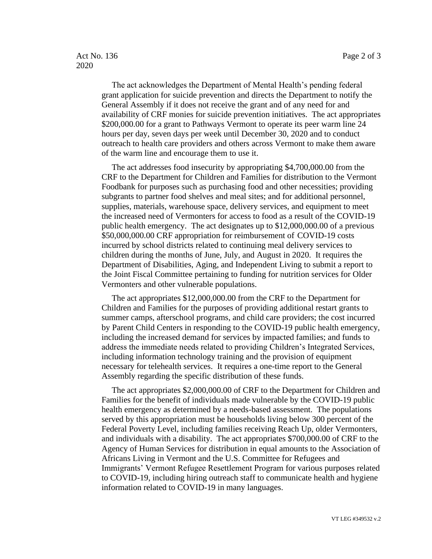## Act No. 136 Page 2 of 3 2020

The act acknowledges the Department of Mental Health's pending federal grant application for suicide prevention and directs the Department to notify the General Assembly if it does not receive the grant and of any need for and availability of CRF monies for suicide prevention initiatives. The act appropriates \$200,000.00 for a grant to Pathways Vermont to operate its peer warm line 24 hours per day, seven days per week until December 30, 2020 and to conduct outreach to health care providers and others across Vermont to make them aware of the warm line and encourage them to use it.

The act addresses food insecurity by appropriating \$4,700,000.00 from the CRF to the Department for Children and Families for distribution to the Vermont Foodbank for purposes such as purchasing food and other necessities; providing subgrants to partner food shelves and meal sites; and for additional personnel, supplies, materials, warehouse space, delivery services, and equipment to meet the increased need of Vermonters for access to food as a result of the COVID-19 public health emergency. The act designates up to \$12,000,000.00 of a previous \$50,000,000.00 CRF appropriation for reimbursement of COVID-19 costs incurred by school districts related to continuing meal delivery services to children during the months of June, July, and August in 2020. It requires the Department of Disabilities, Aging, and Independent Living to submit a report to the Joint Fiscal Committee pertaining to funding for nutrition services for Older Vermonters and other vulnerable populations.

The act appropriates \$12,000,000.00 from the CRF to the Department for Children and Families for the purposes of providing additional restart grants to summer camps, afterschool programs, and child care providers; the cost incurred by Parent Child Centers in responding to the COVID-19 public health emergency, including the increased demand for services by impacted families; and funds to address the immediate needs related to providing Children's Integrated Services, including information technology training and the provision of equipment necessary for telehealth services. It requires a one-time report to the General Assembly regarding the specific distribution of these funds.

The act appropriates \$2,000,000.00 of CRF to the Department for Children and Families for the benefit of individuals made vulnerable by the COVID-19 public health emergency as determined by a needs-based assessment. The populations served by this appropriation must be households living below 300 percent of the Federal Poverty Level, including families receiving Reach Up, older Vermonters, and individuals with a disability. The act appropriates \$700,000.00 of CRF to the Agency of Human Services for distribution in equal amounts to the Association of Africans Living in Vermont and the U.S. Committee for Refugees and Immigrants' Vermont Refugee Resettlement Program for various purposes related to COVID-19, including hiring outreach staff to communicate health and hygiene information related to COVID-19 in many languages.